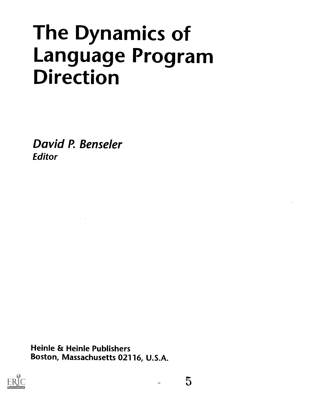# The Dynamics of Language Program Direction

David P. Benseler **Editor** 

Heinle & Heinle Publishers Boston, Massachusetts 02116, U.S.A.

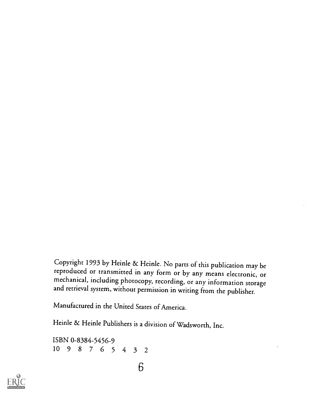Copyright 1993 by Heinle & Heinle. No parts of this publication may be reproduced or transmitted in any form or by any means electronic, or mechanical, including photocopy, recording, or any information storage and retrieval system, without permission in writing from the publisher.

Manufactured in the United States of America.

Heinle & Heinle Publishers is a division of Wadsworth, Inc.

ISBN 0-8384-5456-9 10 9 8 7 6 <sup>5</sup> 4 3 2

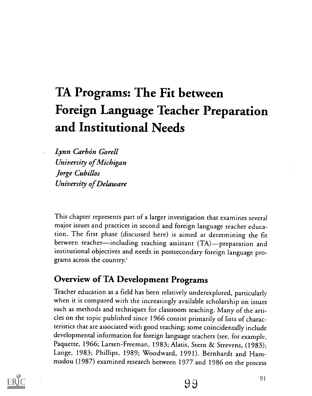# TA Programs: The Fit between Foreign Language Teacher Preparation and Institutional Needs

Lynn Carbón Gorell University of Michigan Jorge Cubillos University of Delaware

This chapter represents part of a larger investigation that examines several major issues and practices in second and foreign language teacher education. The first phase (discussed here) is aimed at determining the fit between teacher—including teaching assistant (TA)—preparation and institutional objectives and needs in postsecondary foreign language programs across the country.'

### Overview of TA Development Programs

Teacher education as a field has been relatively underexplored, particularly when it is compared with the increasingly available scholarship on issues such as methods and techniques for classroom teaching. Many of the articles on the topic published since 1966 consist primarily of lists of characteristics that are associated with good teaching; some coincidentally include developmental information for foreign language teachers (see, for example, Paquette, 1966; Larsen-Freeman, 1983; Alatis, Stern & Strevens, (1983); Lange, 1983; Phillips, 1989; Woodward, 1991). Bernhardt and Hammadou (1987) examined research between 1977 and 1986 on the process

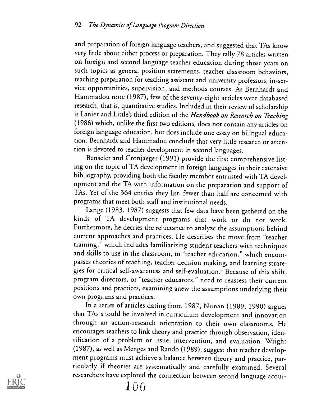and preparation of foreign language teachers, and suggested that TAs know very little about either process or preparation. They tally 78 articles written on foreign and second language teacher education during those years on such topics as general position statements, teacher classroom behaviors, teaching preparation for teaching assistant and university professors, in-service opportunities, supervision, and methods courses. As Bernhardt and Hammadou note (1987), few of the seventy-eight articles were databased research, that is, quantitative studies. Included in their review of scholarship is Lanier and Little's third edition of the Handbook on Research on Teaching (1986) which, unlike the first two editions, does not contain any articles on foreign language education, but does include one essay on bilingual education. Bernhardt and Hammadou conclude that very little research or attention is devoted to teacher development in second languages.

Benseler and Cronjaeger (1991) provide the first comprehensive listing on the topic of TA development in foreign languages in their extensive bibliography, providing both the faculty member entrusted with TA development and the TA with information on the preparation and support of TAs. Yet of the 364 entries they list, fewer than half are concerned with programs that meet both staff and institutional needs.

Lange (1983, 1987) suggests that few data have been gathered on the kinds of TA development programs that work or do not work. Furthermore, he decries the reluctance to analyze the assumptions behind current approaches and practices. He describes the move from "teacher training,' which includes familiarizing student teachers with techniques and skills to use in the classroom, to "teacher education," which encompasses theories of teaching, teacher decision making, and learning strategies for critical self-awareness and self-evaluation.' Because of this shift, program directors, or "teacher educators," need to reassess their current positions and practices, examining anew the assumptions underlying their own prog. ims and practices.

In a series of articles dating from 1987, Nunan (1989, 1990) argues that TAs should be involved in curriculum development and innovation through an action-research orientation to their own classrooms. He encourages teachers to link theory and practice through observation, identification of a problem or issue, intervention, and evaluation. Wright (1987), as well as Menges and Rando (1989), suggest that teacher development programs must achieve a balance between theory and practice, particularly if theories are systematically and carefully examined. Several researchers have explored the connection berween second language acqui-

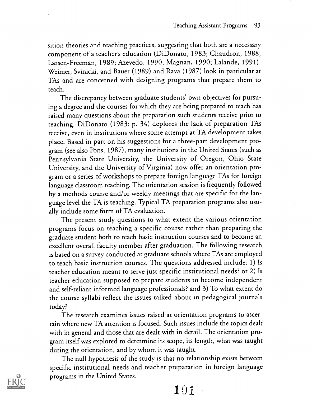sition theories and teaching practices, suggesting that both are a necessary component of a teacher's education (DiDonato, 1983; Chaudron, 1988; Larsen-Freeman, 1989; Azevedo, 1990; Magnan, 1990; Lalande, 1991). Weimer, Svinicki, and Bauer (1989) and Rava (1987) look in particular at TAs and are concerned with designing programs that prepare them to teach.

The discrepancy between graduate students' own objectives for pursuing a degree and the courses for which they are being prepared to teach has raised many questions about the preparation such students receive prior to teaching. DiDonato (1983: p. 34) deplores the lack of preparation TAs receive, even in institutions where some attempt at TA development takes place. Based in part on his suggestions for a three-part development program (see also Pons, 1987), many institutions in the United States (such as Pennsylvania State University, the University of Oregon, Ohio State University, and the University of Virginia) now offer an orientation program or a series of workshops to prepare foreign language TAs for foreign language classroom teaching. The orientation session is frequently followed by a methods course and/or weekly meetings that are specific for the language level the TA is teaching. Typical TA preparation programs also usually include some form of TA evaluation.

The present study questions to what extent the various orientation programs focus on teaching a specific course rather than preparing the graduate student both to teach basic instruction courses and to become an excellent overall faculty member after graduation. The following research is based on a survey conducted at graduate schools where TAs are employed to teach basic instruction courses. The questions addressed include: 1) Is teacher education meant to serve just specific institutional needs? or 2) Is teacher education supposed to prepare students to become independent and self-reliant informed language professionals? and 3) To what extent do the course syllabi reflect the issues talked about in pedagogical journals today?

The research examines issues raised at orientation programs to ascertain where new TA attention is focused. Such issues include the topics dealt with in general and those that are dealt with in detail. The orientation program itself was explored to determine its scope, its length, what was taught during the orientation, and by whom it was taught.

The null hypothesis of the study is that no relationship exists between specific institutional needs and teacher preparation in foreign language programs in the United States.



101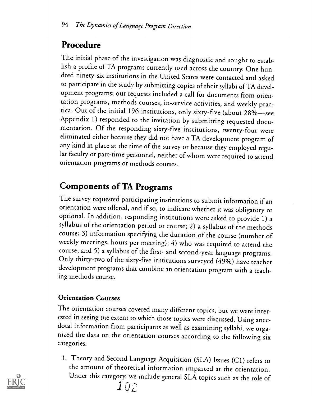# Procedure

The initial phase of the investigation was diagnostic and sought to establish a profile of TA programs currently used across the country. One hundred ninety-six institutions in the United States were contacted and asked to participate in the study by submitting copies of their syllabi of TA development programs; our requests included a call for documents from orientation programs, methods courses, in-service activities, and weekly practica. Out of the initial 196 institutions, only sixty-five (about 28%—see Appendix 1) responded to the invitation by submitting requested documentation. Of the responding sixty-five institutions, twenty-four were eliminated either because they did not have a TA development program of any kind in place at the time of the survey or because they employed regular faculty or part-time personnel, neither of whom were required to attend orientation programs or methods courses.

# Components of TA Programs

The survey requested participating institutions to submit information if an orientation were offered, and if so, to indicate whether it was obligatory or optional. In addition, responding institutions were asked to provide 1) a syllabus of the orientation period or course; 2) a syllabus of the methods course; 3) information specifying the duration of the course (number of weekly meetings, hours per meeting); 4) who was required to attend the Only thirty-two of the sixty-five institutions surveyed (49%) have teacher development programs that combine an orientation program with a teaching methods course.

### Orientation Courses

The orientation courses covered many different topics, but we were interested in seeing the extent to which those topics were discussed. Using anecdotal information from participants as well as examining syllabi, we organized the data on the orientation courses according to the following six categories:

1. Theory and Second Language Acquisition (SLA) Issues (C1) refers to the amount of theoretical information imparted at the orientation. Under this category, we include general SLA topics such as the role of

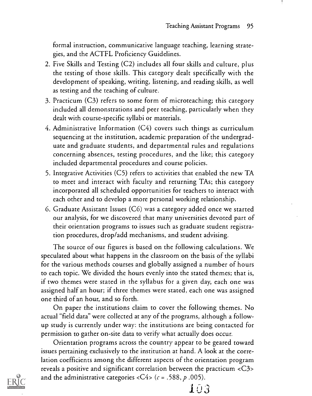formal instruction, communicative language teaching, learning strategies, and the ACTFL Proficiency Guidelines.

- 2. Five Skills and Testing (C2) includes all four skills and culture, plus the testing of those skills. This category dealt specifically with the development of speaking, writing, listening, and reading skills, as well as testing and the teaching of culture.
- 3. Practicum (C3) refers to some form of microteaching; this category included all demonstrations and peer teaching, particularly when they dealt with course-specific syllabi or materials.
- 4. Administrative Information (C4) covers such things as curriculum sequencing at the institution, academic preparation of the undergraduate and graduate students, and departmental rules and regulations concerning absences, testing procedures, and the like; this category included departmental procedures and course policies.
- 5. Integrative Activities (C5) refers to activities that enabled the new TA to meet and interact with faculty and returning TAs; this category incorporated all scheduled opportunities for teachers to interact with each other and to develop a more personal working relationship.
- 6. Graduate Assistant Issues (C6) was a category added once we started our analysis, for we discovered that many universities devoted part of their orientation programs to issues such as graduate student registration procedures, drop/add mechanisms, and student advising.

The source of our figures is based on the following calculations. We speculated about what happens in the classroom on the basis of the syllabi for the various methods courses and globally assigned a number of hours to each topic. We divided the hours evenly into the stated themes; that is, if two themes were stated in the syllabus for a given day, each one was assigned half an hour; if three themes were stated, each one was assigned one third of an hour, and so forth.

On paper the institutions claim to cover the following themes. No actual "field data" were collected at any of the programs, although a followup study is currently under way: the institutions are being contacted for permission to gather on-site data to verify what actually does occur.

Orientation programs across the country appear to be geared toward issues pertaining exclusively to the institution at hand. A look at the correlation coefficients among the different aspects of the orientation program reveals a positive and significant correlation between the practicum <C3> and the administrative categories  $\langle C4 \rangle$  ( $c = .588$ ,  $p .005$ ).



1.03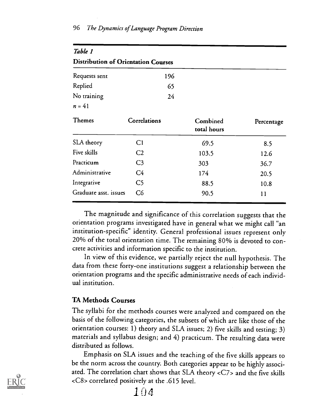| Table 1                                    |                |                         |            |  |  |  |
|--------------------------------------------|----------------|-------------------------|------------|--|--|--|
| <b>Distribution of Orientation Courses</b> |                |                         |            |  |  |  |
| Requests sent                              | 196            |                         |            |  |  |  |
| Replied                                    | 65             |                         |            |  |  |  |
| No training                                | 24             |                         |            |  |  |  |
| $n = 41$                                   |                |                         |            |  |  |  |
| <b>Themes</b>                              | Correlations   | Combined<br>total hours | Percentage |  |  |  |
| SLA theory                                 | C <sub>1</sub> | 69.5                    | 8.5        |  |  |  |
| Five skills                                | C <sub>2</sub> | 103.5                   | 12.6       |  |  |  |
| Practicum                                  | C <sub>3</sub> | 303                     | 36.7       |  |  |  |
| Administrative                             | C <sub>4</sub> | 174                     | 20.5       |  |  |  |
| Integrative                                | C <sub>5</sub> | 88.5                    | 10.8       |  |  |  |
| Graduate asst. issues                      | C6             | 90.5                    | 11         |  |  |  |

The magnitude and significance of this correlation suggests that the orientation programs investigated have in general what we might call "an institution-specific" identity. General professional issues represent only 20% of the total orientation time. The remaining 80% is devoted to concrete activities and information specific to the institution.

In view of this evidence, we partially reject the null hypothesis. The data from these forty-one institutions suggest a relationship between the orientation programs and the specific administrative needs of each individual institution.

### TA Methods Courses

The syllabi for the methods courses were analyzed and compared on the basis of the following categories, the subsets of which are like those of the orientation courses: 1) theory and SLA issues; 2) five skills and testing; 3) materials and syllabus design; and 4) practicum. The resulting data were distributed as follows.

Emphasis on SLA issues and the teaching of the five skills appears to be the norm across the country. Both categories appear to be highly associated. The correlation chart shows that SLA theory <C7> and the five skills <C8> correlated positively at the .615 level.

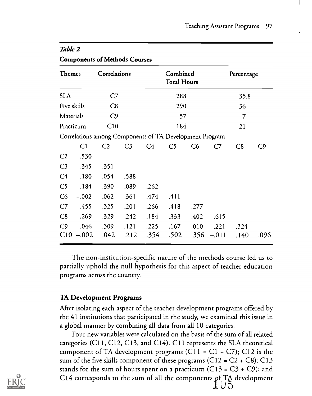| <b>Themes</b>  |                | Correlations   |                |                                                         | Combined<br><b>Total Hours</b> |         |         | Percentage |                |
|----------------|----------------|----------------|----------------|---------------------------------------------------------|--------------------------------|---------|---------|------------|----------------|
| <b>SLA</b>     |                | C7             |                | 288                                                     |                                |         | 35.8    |            |                |
| Five skills    |                | C8             |                |                                                         | 290                            |         | 36      |            |                |
| Materials      |                | C <sub>9</sub> |                |                                                         | 57                             |         |         | 7          |                |
| Practicum      |                | C10            |                |                                                         | 184                            |         |         | 21         |                |
|                |                |                |                | Correlations among Components of TA Development Program |                                |         |         |            |                |
|                | C <sub>1</sub> | C <sub>2</sub> | C <sub>3</sub> | C <sub>4</sub>                                          | C <sub>5</sub>                 | C6      | C7      | C8         | C <sub>9</sub> |
| C <sub>2</sub> | .530           |                |                |                                                         |                                |         |         |            |                |
| C <sub>3</sub> | .345           | .351           |                |                                                         |                                |         |         |            |                |
| C4             | .180           | .054           | .588           |                                                         |                                |         |         |            |                |
| C <sub>5</sub> | .184           | .390           | .089           | .262                                                    |                                |         |         |            |                |
| C6             | $-.002$        | .062           | .361           | .474                                                    | .411                           |         |         |            |                |
| C7             | .455           | .325           | .201           | .266                                                    | .418                           | .277    |         |            |                |
| C8             | .269           | .329           | .242           | .184                                                    | .333                           | .402    | .615    |            |                |
| C <sub>9</sub> | .046           | .309           | $-.121$        | $-.225$                                                 | .167                           | $-.010$ | .221    | .324       |                |
| C10            | $-.002$        | .042           | .212           | .354                                                    | .502                           | .356    | $-.011$ | .140       | .096           |

### Table 2

Components of Methods Courses

The non-institution-specific nature of the methods course led us to partially uphold the null hypothesis for this aspect of teacher education programs across the country.

### TA Development Programs

After isolating each aspect of the teacher development programs offered by the 41 institutions that participated in the study, we examined this issue in a global manner by combining all data from all 10 categories.

Four new variables were calculated on the basis of the sum of all related categories (C11, C12, C13, and C14). C11 represents the SLA theoretical component of TA development programs (C11 =  $C1 + C7$ ); C12 is the sum of the five skills component of these programs  $(C12 = C2 + C8)$ ; C13 stands for the sum of hours spent on a practicum (C13 =  $C3 + C9$ ); and C14 corresponds to the sum of all the components pf TA developmentてりま

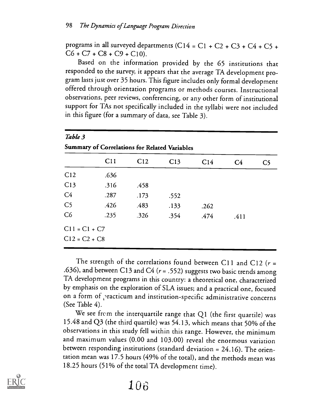programs in all surveyed departments (C14 = C1 + C2 + C3 + C4 + C5 +  $C6 + C7 + C8 + C9 + C10$ .

Based on the information provided by the 65 institutions that responded to the survey, it appears that the average TA development program lasts just over 35 hours. This figure includes only formal development offered through orientation programs or methods courses. Instructional observations, peer reviews, conferencing, or any other form of institutional support for TAs not specifically included in the syllabi were not included in this figure (for a summary of data, see Table 3).

| C11             | C <sub>12</sub> | C13  | C <sub>14</sub> | C <sub>4</sub>                                | C <sub>5</sub> |
|-----------------|-----------------|------|-----------------|-----------------------------------------------|----------------|
| .636            |                 |      |                 |                                               |                |
| .316            | .458            |      |                 |                                               |                |
| .287            | .173            | .552 |                 |                                               |                |
| .426            | .483            | .133 | .262            |                                               |                |
| .235            | .326            | .354 | .474            | .411                                          |                |
| $C11 = C1 + C7$ |                 |      |                 |                                               |                |
| $C12 = C2 + C8$ |                 |      |                 |                                               |                |
|                 |                 |      |                 | Summary of Correlations for Related Variables |                |

The strength of the correlations found between C11 and C12 ( $r =$ .636), and between C13 and C4 ( $r = .552$ ) suggests two basic trends among TA development programs in this country: a theoretical one, characterized by emphasis on the exploration of SLA issues; and a practical one, focused on a form of practicum and institution-specific administrative concerns (See Table 4).

We see from the interquartile range that Q1 (the first quartile) was 15.48 and Q3 (the third quartile) was 54.13, which means that 50% of the observations in this study fell within this range. However, the minimum and maximum values (0.00 and 103.00) reveal the enormous variation between responding institutions (standard deviation = 24.16). The orientation mean was 17.5 hours (49% of the total), and the methods mean was 18.25 hours (51% of the total TA development time).

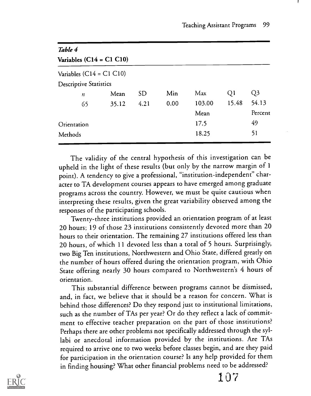| Table 4                       |       |           |      |        |       |         |
|-------------------------------|-------|-----------|------|--------|-------|---------|
| Variables $(C14 = C1 C10)$    |       |           |      |        |       |         |
| Variables $(C14 = C1 C10)$    |       |           |      |        |       |         |
| <b>Descriptive Statistics</b> |       |           |      |        |       |         |
| $\boldsymbol{n}$              | Mean  | <b>SD</b> | Min  | Max    | Q1    | Q3      |
| 65                            | 35.12 | 4.21      | 0.00 | 103.00 | 15.48 | 54.13   |
|                               |       |           |      | Mean   |       | Percent |
| Orientation                   |       |           |      | 17.5   |       | 49      |
| Methods                       |       |           |      | 18.25  |       | 51      |
|                               |       |           |      |        |       |         |

The validity of the central hypothesis of this investigation can be upheld in the light of these results (but only by the narrow margin of 1 point). A tendency to give a professional, "institution-independent" character to TA development courses appears to have emerged among graduate programs across the country. However, we must be quite cautious when interpreting these results, given the great variability observed among the responses of the participating schools.

Twenty-three institutions provided an orientation program of at least 20 hours; 19 of those 23 institutions consistently devoted more than 20 hours to their orientation. The remaining 27 institutions offered less than 20 hours, of which 11 devoted less than a total of 5 hours. Surprisingly, two Big Ten institutions, Northwestern and Ohio State, differed greatly on the number of hours offered during the orientation program, with Ohio State offering nearly 30 hours compared to Northwestern's 4 hours of orientation.

This substantial difference between programs cannot be dismissed, and, in fact, we believe that it should be a reason for concern. What is behind those differences? Do they respond just to institutional limitations, such as the number of TAs per year? Or do they reflect a lack of commitment to effective teacher preparation on the part of those institutions? Perhaps there are other problems not specifically addressed through the syllabi or anecdotal information provided by the institutions. Are TAs required to arrive one to two weeks before classes begin, and are they paid for participation in the orientation course? Is any help provided for them in finding housing? What other financial problems need to be addressed?

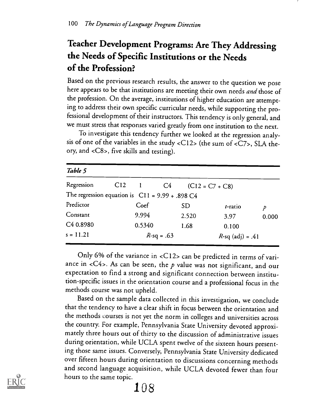# Teacher Development Programs: Are They Addressing the Needs of Specific Institutions or the Needs of the Profession?

Based on the previous research results, the answer to the question we pose here appears to be that institutions are meeting their own needs and those of the profession. On the average, institutions of higher education are attempting to address their own specific curricular needs, while supporting the professional development of their instructors. This tendency is only general, and we must stress that responses varied greatly from one institution to the next.

To investigate this tendency further we looked at the regression analysis of one of the variables in the study <C12> (the sum of <C7>, SLA theory, and <C8>, five skills and testing).

| Table 5                                           |     |              |               |           |                     |       |
|---------------------------------------------------|-----|--------------|---------------|-----------|---------------------|-------|
| Regression                                        | C12 | $\mathbf{l}$ | C4            |           | $(C12 = C7 + C8)$   |       |
| The regression equation is $C11 = 9.99 + .898 C4$ |     |              |               |           |                     |       |
| Predictor                                         |     | Coef         |               | <b>SD</b> | t-ratio             | p     |
| Constant                                          |     | 9.994        |               | 2.520     | 3.97                | 0.000 |
| C <sub>4</sub> 0.8980                             |     | 0.5340       |               | 1.68      | 0.100               |       |
| $s = 11.21$                                       |     |              | $R$ -sq = .63 |           | $R$ -sq (adj) = .41 |       |

Only 6% of the variance in <C12> can be predicted in terms of variance in <C4>. As can be seen, the  $p$  value was not significant, and our expectation to find a strong and significant connection between institution-specific issues in the orientation course and a professional focus in the methods course was not upheld.

Based on the sample data collected in this investigation, we conclude that the tendency to have a clear shift in focus between the orientation and the methods courses is not yet the norm in colleges and universities across the country. For example, Pennsylvania State University devoted approximately three hours out of thirty to the discussion of administrative issues during orientation, while UCLA spent twelve of the sixteen hours presenting those same issues. Conversely, Pennsylvania State University dedicated over fifteen hours during orientation to discussions concerning methods and second language acquisition, while UCLA devoted fewer than four hours to the same topic.



# 108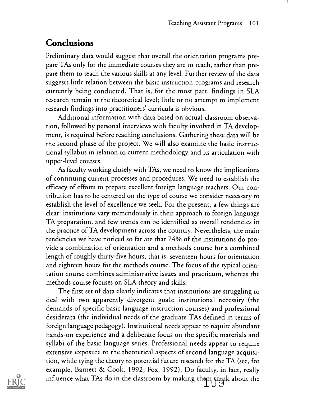### Conclusions

Preliminary data would suggest that overall the orientation programs prepare TAs only for the immediate courses they are to teach, rather than prepare them to teach the various skills at any level. Further review of the data suggests little relation between the basic instruction programs and research currently being conducted. That is, for the most part, findings in SLA research remain at the theoretical level; little or no attempt to implement research findings into practitioners' curricula is obvious.

Additional information with data based on actual classroom observation, followed by personal interviews with faculty involved in TA development, is required before reaching conclusions. Gathering these data will be the second phase of the project. We will also examine the basic instructional syllabus in relation to current methodology and its articulation with upper-level courses.

As faculty working closely with TAs, we need to know the implications of continuing current processes and procedures. We need to establish the efficacy of efforts to prepare excellent foreign language teachers. Our contribution has to be centered on the type of course we consider necessary to establish the level of excellence we seek. For the present, a few things are clear: institutions vary tremendously in their approach to foreign language TA preparation, and few trends can be identified as overall tendencies in the practice of TA development across the country. Nevertheless, the main tendencies we have noticed so far are that 74% of the institutions do provide a combination of orientation and a methods course for a combined length of roughly thirry-five hours, that is, seventeen hours for orientation and eighteen hours for the methods course. The focus of the typical orientation course combines administrative issues and practicum, whereas the methods course focuses on SLA theory and skills.

The first set of data clearly indicates that institutions are struggling to deal with two apparently divergent goals: institutional necessity (the demands of specific basic language instruction courses) and professional desiderata (the individual needs of the graduate TAs defined in terms of foreign language pedagogy). Institutional needs appear to require abundant hands-on experience and a deliberate focus on the specific materials and syllabi of the basic language series. Professional needs appear to require extensive exposure to the theoretical aspects of second language acquisition, while tying the theory to potential future research for the TA (see, for example, Barnett & Cook, 1992; Fox, 1992). Do faculty, in fact, really influence what TAs do in the classroom by making them think about the

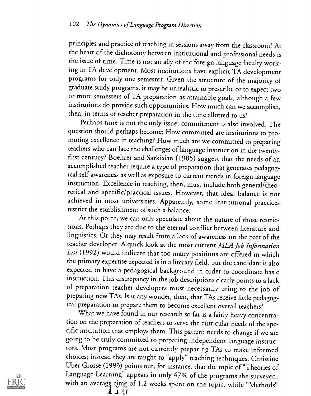principles and practice of teaching in sessions away from the classroom? At the heart of the dichotomy between institutional and professional needs is the issue of time. Time is not an ally of the foreign language faculty working in TA development. Most institutions have explicit TA development programs for only one semester. Given the structure of the majority of graduate study programs, it may be unrealistic to prescribe or to expect two or more semesters of TA preparation as attainable goals, although a few institutions do provide such opportunities. How much can we accomplish, then, in terms of teacher preparation in the time allotted to us?

Perhaps time is not the only issue; commitment is also involved. The question should perhaps become: How committed are institutions to promoting excellence in teaching? How much are we committed to preparing teachers who can face the challenges of language instruction in the twentyfirst century? Boehrer and Sarkisian (1985) suggest that the needs of an accomplished teacher require a type of preparation that generates pedagogical self-awareness as well as exposure to current trends in foreign language instruction. Excellence in teaching, then, must include both general/theoretical and specific/practical issues. However, that ideal balance is not achieved in most universities. Apparently, some institutional practices restrict the establishment of such a balance.

At this point, we can only speculate about the nature of those restrictions. Perhaps they are due to the eternal conflict between literature and linguistics. Or they may result from a lack of awareness on the part of the teacher developer. A quick look at the most current MLA Job Information List (1992) would indicate that too many positions are offered in which the primary expertise expected is in a literary field, but the candidate is also expected to have a pedagogical background in order to coordinate basic instruction. This discrepancy in the job descriptions clearly points to a lack of preparation teacher developers must necessarily bring to the job of preparing new TAs. Is it any wonder, then, that TAs receive little pedagogical preparation to prepare them to become excellent overall teachers?

What we have found in our research so far is a fairly heavy concentration on the preparation of teachers to serve the curricular needs of the specific institution that employs them. This pattern needs to change if we are going to be truly committed to preparing independent language instructors. Most programs are not currently preparing TAs to make informed choices; instead they are taught to "apply" teaching techniques. Christine Uber Grosse (1993) points out, for instance, that the topic of "Theories of Language Learning" appears in only 47% of the programs she surveyed, with an average time of 1.2 weeks spent on the topic, while "Methods"

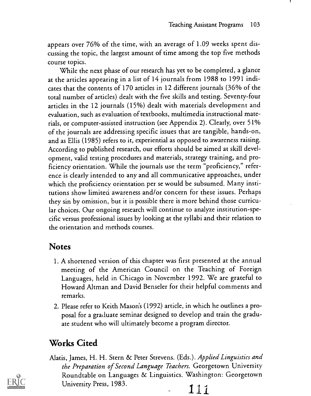appears over 76% of the time, with an average of 1.09 weeks spent discussing the topic, the largest amount of time among the top five methods course topics.

While the next phase of our research has yet to be completed, a glance at the articles appearing in a list of 14 journals from 1988 to 1991 indicates that the contents of 170 articles in 12 different journals (36% of the total number of articles) dealt with the five skills and testing. Seventy-four articles in the 12 journals (15%) dealt with materials development and evaluation, such as evaluation of textbooks, multimedia instructional materials, or computer-assisted instruction (see Appendix 2). Clearly, over 51% of the journals are addressing specific issues that are tangible, hands-on, and as Ellis (1985) refers to it, experiential as opposed to awareness raising. According to published research, our efforts should be aimed at skill development, valid testing procedures and materials, strategy training, and proficiency orientation. While the journals use the term "proficiency," reference is clearly intended to any and all communicative approaches, under which the proficiency orientation per se would be subsumed. Many institutions show limited awareness and/or concern for these issues. Perhaps they sin by omission, but it is possible there is more behind those curricular choices. Our ongoing research will continue to analyze institution-specific versus professional issues by looking at the syllabi and their relation to the orientation and methods courses.

### Notes

- 1. A shortened version of this chapter was first presented at the annual meeting of the American Council on the Teaching of Foreign Languages, held in Chicago in November 1992. We are grateful to Howard Altman and David Benseler for their helpful comments and remarks.
- 2. Please refer to Keith Mason's (1992) article, in which he outlines a proposal for a graduate seminar designed to develop and train the graduate student who will ultimately become a program director.

### Works Cited

Alatis, James, H. H. Stern & Peter Strevens. (Eds.). Applied Linguistics and the Preparation of Second Language Teachers. Georgetown University Roundtable on Languages & Linguistics. Washington: Georgetown University Press, 1983.

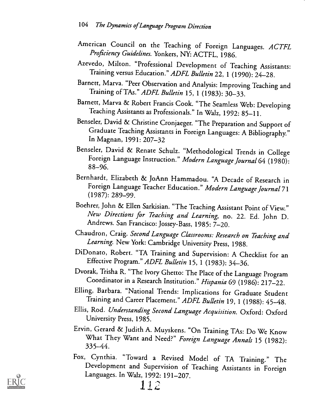- American Council on the Teaching of Foreign Languages. ACTFL Proficiency Guidelines. Yonkers, NY: ACTFL, 1986.
- Azevedo, Milton. "Professional Development of Teaching Assistants: Training versus Education." ADFL Bulletin 22, 1 (1990): 24-28.
- Barnett, Marva. "Peer Observation and Analysis: Improving Teaching and Training of TAs." ADFL Bulletin 15, 1 (1983): 30-33.
- Barnett, Marva & Robert Francis Cook. "The Seamless Web: Developing Teaching Assistants as Professionals." In Walz, 1992: 85-11.
- Benseler, David & Christine Cronjaeger. "The Preparation and Support of Graduate Teaching Assistants in Foreign Languages: A Bibliography." In Magnan, 1991: 207-32
- Benseler, David & Renate Schulz. "Methodological Trends in College Foreign Language Instruction." Modern Language Journal 64 (1980):<br>88-96.
- Bernhardt, Elizabeth & JoAnn Hammadou. "A Decade of Research in Foreign Language Teacher Education." Modern Language Journal 71 (1987): 289-99.
- Boehrer, John & Ellen Sarkisian. "The Teaching Assistant Point of View." New Directions for Teaching and Learning, no. 22. Ed. John D. Andrews. San Francisco: Jossey-Bass, 1985: 7-20.
- Chaudron, Craig. Second Language Classrooms: Research on Teaching and Learning. New York: Cambridge University Press, 1988.
- DiDonato, Robert. "TA Training and Supervision: A Checklist for an Effective Program." ADFL Bulletin 15, 1 (1983): 34-36.
- Dvorak, Trisha R. "The Ivory Ghetto: The Place of the Language Program Coordinator in a Research Institution." Hispania 69 (1986): 217-22.
- Elling, Barbara. "National Trends: Implications for Graduate Student Training and Career Placement." ADFL Bulletin 19, 1 (1988): 45-48.
- Ellis, Rod. Understanding Second Language Acquisition. Oxford: Oxford University Press, 1985.
- Ervin, Gerard & Judith A. Muyskens. "On Training TAs: Do We Know What They Want and Need?" Foreign Language Annals 15 (1982):<br>335–44.
- Fox, Cynthia. "Toward a Revised Model of TA Training." The Development and Supervision of Teaching Assistants in Foreign Languages. In Walz, 1992: 191-207.

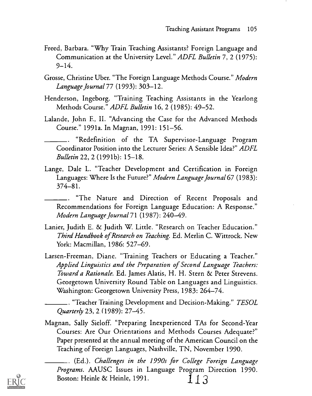- Freed, Barbara. "Why Train Teaching Assistants? Foreign Language and Communication at the University Level." ADFL Bulletin 7, 2 (1975):  $9 - 14.$
- Grosse, Christine Uber. "The Foreign Language Methods Course." Modern Language Journal77 (1993): 303-12.
- Henderson, Ingeborg. "Training Teaching Assistants in the Yearlong Methods Course." *ADFL Bulletin* 16, 2 (1985): 49–52.
- Lalande, John E, II. "Advancing the Case for the Advanced Methods Course." 1991a. In Magnan, 1991: 151-56.

"Redefinition of the TA Supervisor-Language Program Coordinator Position into the Lecturer Series: A Sensible Idea?" ADFL Bulletin 22, 2 (1991b): 15-18.

Lange, Dale L. "Teacher Development and Certification in Foreign Languages: Where Is the Future?" Modern Language Journal 67 (1983): 374-81.

"The Nature and Direction of Recent Proposals and Recommendations for Foreign Language Education: A Response." Modern Language Journal71 (1987): 240-49.

- Lanier, Judith E. & Judith W. Little. "Research on Teacher Education." Third Handbook of Research on Teaching. Ed. Merlin C. Wittrock. New York: Macmillan, 1986: 527-69.
- Larsen-Freeman, Diane. "Training Teachers or Educating a Teacher." Applied Linguistics and the Preparation of Second Language Teachers: Toward a Rationale. Ed. James Alatis, H. H. Stern & Peter Strevens. Georgetown University Round Table on Languages and Linguistics. Washington: Georgetown University Press, 1983: 264-74.

 $\_$ . "Teacher Training Development and Decision-Making."  $\it TESOL$ Quarterly 23,2 (1989): 27-45.

Magnan, Sally Sieloff. "Preparing Inexperienced TAs for Second-Year Courses: Are Our Orientations and Methods Courses Adequate?" Paper presented at the annual meeting of the American Council on the Teaching of Foreign Languages, Nashville, TN, November 1990.

(Ed.). Challenges in the 1990s for College Foreign Language Programs. AAUSC Issues in Language Program Direction 1990. Boston: Heinle & Heinle, 1991.  $1 \int$ 

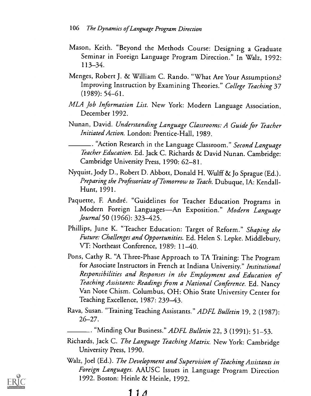- Mason, Keith. "Beyond the Methods Course: Designing a Graduate Seminar in Foreign Language Program Direction." In Walz, 1992: 113-34.
- Menges, Robert J. & William C. Rando. "What Are Your Assumptions? Improving Instruction by Examining Theories." College Teaching 37 (1989): 54-61.
- MLA Job Information List. New York: Modern Language Association, December 1992.
- Nunan, David. Understanding Language Classrooms: A Guide for Teacher Initiated Action. London: Prentice-Hall, 1989.

\_. "Action Research in the Language Classroom." *Second Language* Teacher Education. Ed. Jack C. Richards & David Nunan. Cambridge: Cambridge University Press, 1990: 62-81.

- Nyquist, Jody D., Robert D. Abbott, Donald H. Wulff & Jo Sprague (Ed.). Preparing the Professoriate of Tomorrow to Teach. Dubuque, IA: Kendall-Hunt, 1991.
- Paquette, F. André. "Guidelines for Teacher Education Programs in Modern Foreign Languages-An Exposition." Modern Language Journal 50 (1966): 323-425.
- Phillips, June K. "Teacher Education: Target of Reform." Shaping the Future: Challenges and Opportunities. Ed. Helen S. Lepke. Middlebury, VT: Northeast Conference, 1989: 11-40.
- Pons, Cathy R. "A Three-Phase Approach to TA Training: The Program for Associate Instructors in French at Indiana University." Institutional Responsibilities and Responses in the Employment and Education of Teaching Assistants: Readings from a National Conference. Ed. Nancy Van Note Chism. Columbus, OH: Ohio State University Center for Teaching Excellence, 1987: 239-43.
- Rava, Susan. "Training Teaching Assistants." ADFL Bulletin 19, 2 (1987): 26-27.
	- .. "Minding Our Business." ADFL Bulletin 22, 3 (1991): 51-53.
- Richards, Jack C. The Language Teaching Matrix. New York: Cambridge University Press, 1990.
- Walz, Joel (Ed.). The Development and Supervision of Teaching Assistants in Foreign Languages. AAUSC Issues in Language Program Direction 1992. Boston: Heinle & Heinle, 1992.

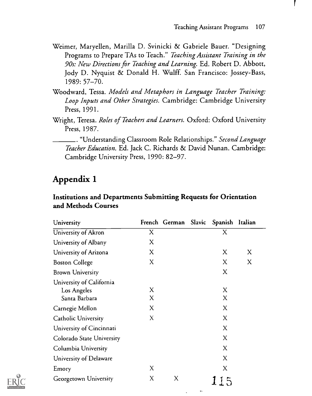- Weimer, Maryellen, Marilla D. Svinicki & Gabriele Bauer. "Designing Programs to Prepare TAs to Teach." Teaching Assistant Training in the 90s: New Directions for Teaching and Learning. Ed. Robert D. Abbott, Jody D. Nyquist & Donald H. Wulff. San Francisco: Jossey-Bass, 1989: 57-70.
- Woodward, Tessa. Models and Metaphors in Language Teacher Training: Loop Inputs and Other Strategies. Cambridge: Cambridge University Press, 1991.
- Wright, Teresa. Roles of Teachers and Learners. Oxford: Oxford University Press, 1987.

. "Understanding Classroom Role Relationships." Second Language Teacher Education. Ed. Jack C. Richards & David Nunan. Cambridge: Cambridge University Press, 1990: 82-97.

### Appendix 1

### Institutions and Departments Submitting Requests for Orientation and Methods Courses

| University                |   | French German | Slavic | Spanish Italian |   |
|---------------------------|---|---------------|--------|-----------------|---|
| University of Akron       | X |               |        | X               |   |
| University of Albany      | X |               |        |                 |   |
| University of Arizona     | X |               |        | X               | X |
| <b>Boston College</b>     | X |               |        | X               | X |
| <b>Brown University</b>   |   |               |        | X               |   |
| University of California  |   |               |        |                 |   |
| Los Angeles               | X |               |        | X               |   |
| Santa Barbara             | X |               |        | X               |   |
| Carnegie Mellon           | X |               |        | X               |   |
| Catholic University       | X |               |        | X               |   |
| University of Cincinnati  |   |               |        | X               |   |
| Colorado State University |   |               |        | X               |   |
| Columbia University       |   |               |        | X               |   |
| University of Delaware    |   |               |        | X               |   |
| Emory                     | X |               |        | X               |   |
| Georgetown University     | X | X             |        | 115             |   |

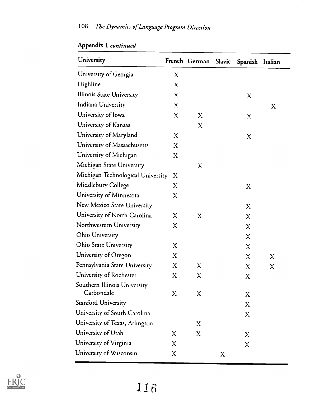| University                                 |             | French German Slavic Spanish Italian |   |   |   |
|--------------------------------------------|-------------|--------------------------------------|---|---|---|
| University of Georgia                      | X           |                                      |   |   |   |
| Highline                                   | X           |                                      |   |   |   |
| <b>Illinois State University</b>           | X           |                                      |   | X |   |
| Indiana University                         | X           |                                      |   |   | X |
| University of Iowa                         | $\mathbf X$ | X                                    |   | X |   |
| University of Kansas                       |             | X                                    |   |   |   |
| University of Maryland                     | X           |                                      |   | X |   |
| University of Massachusetts                | X           |                                      |   |   |   |
| University of Michigan                     | X           |                                      |   |   |   |
| Michigan State University                  |             | X                                    |   |   |   |
| Michigan Technological University          | X           |                                      |   |   |   |
| Middlebury College                         | X           |                                      |   | X |   |
| University of Minnesota                    | X           |                                      |   |   |   |
| New Mexico State University                |             |                                      |   | X |   |
| University of North Carolina               | X           | X                                    |   | X |   |
| Northwestern University                    | X           |                                      |   | X |   |
| <b>Ohio University</b>                     |             |                                      |   | X |   |
| <b>Ohio State University</b>               | X           |                                      |   | X |   |
| University of Oregon                       | X           |                                      |   | X | X |
| Pennsylvania State University              | X           | X                                    |   | X | X |
| University of Rochester                    | X           | X                                    |   | X |   |
| Southern Illinois University<br>Carbondale | X           | X                                    |   | X |   |
| Stanford University                        |             |                                      |   | X |   |
| University of South Carolina               |             |                                      |   | X |   |
| University of Texas, Arlington             |             | X                                    |   |   |   |
| University of Utah                         | X           | X                                    |   | X |   |
| University of Virginia                     | X           |                                      |   | X |   |
| University of Wisconsin                    | X           |                                      | X |   |   |
|                                            |             |                                      |   |   |   |

Appendix I continued



116